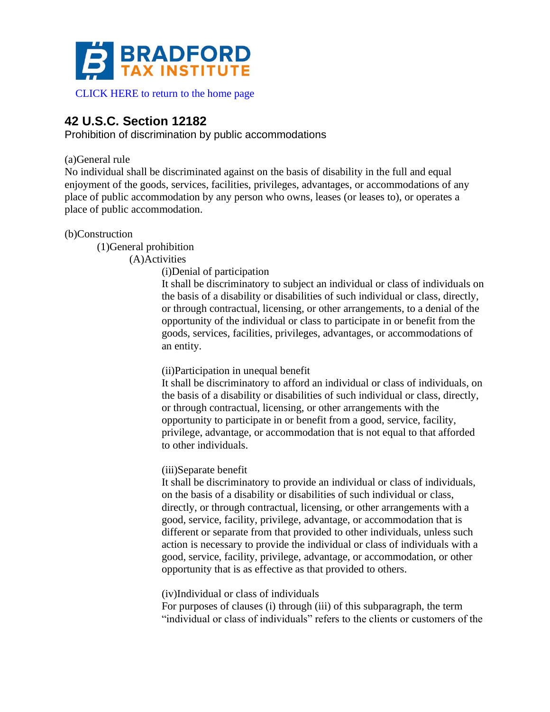

[CLICK HERE to return to the home page](https://www.bradfordtaxinstitute.com)

# **42 U.S.C. Section 12182**

Prohibition of discrimination by public accommodations

# (a)General rule

No individual shall be discriminated against on the basis of disability in the full and equal enjoyment of the goods, services, facilities, privileges, advantages, or accommodations of any place of public accommodation by any person who owns, leases (or leases to), or operates a place of public accommodation.

# (b)Construction

(1)General prohibition

# (A)Activities

(i)Denial of participation

It shall be discriminatory to subject an individual or class of individuals on the basis of a disability or disabilities of such individual or class, directly, or through contractual, licensing, or other arrangements, to a denial of the opportunity of the individual or class to participate in or benefit from the goods, services, facilities, privileges, advantages, or accommodations of an entity.

# (ii)Participation in unequal benefit

It shall be discriminatory to afford an individual or class of individuals, on the basis of a disability or disabilities of such individual or class, directly, or through contractual, licensing, or other arrangements with the opportunity to participate in or benefit from a good, service, facility, privilege, advantage, or accommodation that is not equal to that afforded to other individuals.

# (iii)Separate benefit

It shall be discriminatory to provide an individual or class of individuals, on the basis of a disability or disabilities of such individual or class, directly, or through contractual, licensing, or other arrangements with a good, service, facility, privilege, advantage, or accommodation that is different or separate from that provided to other individuals, unless such action is necessary to provide the individual or class of individuals with a good, service, facility, privilege, advantage, or accommodation, or other opportunity that is as effective as that provided to others.

(iv)Individual or class of individuals

For purposes of clauses (i) through (iii) of this subparagraph, the term "individual or class of individuals" refers to the clients or customers of the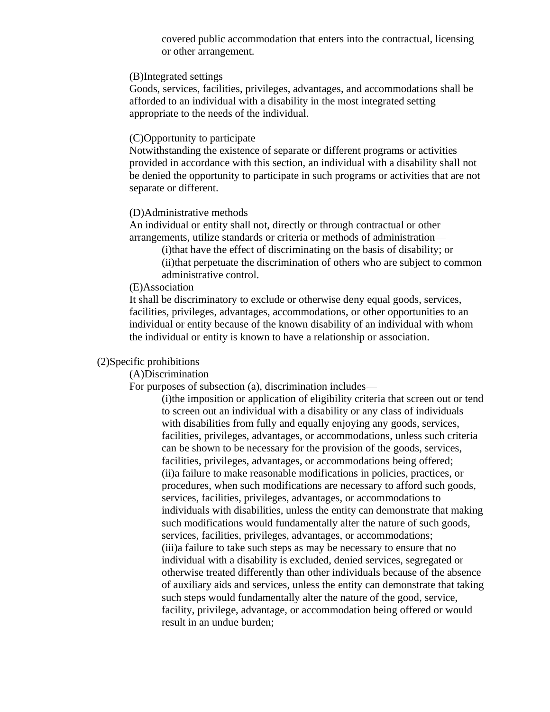covered public accommodation that enters into the contractual, licensing or other arrangement.

#### (B)Integrated settings

Goods, services, facilities, privileges, advantages, and accommodations shall be afforded to an individual with a disability in the most integrated setting appropriate to the needs of the individual.

#### (C)Opportunity to participate

Notwithstanding the existence of separate or different programs or activities provided in accordance with this section, an individual with a disability shall not be denied the opportunity to participate in such programs or activities that are not separate or different.

#### (D)Administrative methods

An individual or entity shall not, directly or through contractual or other arrangements, utilize standards or criteria or methods of administration—

(i)that have the effect of discriminating on the basis of disability; or (ii)that perpetuate the discrimination of others who are subject to common administrative control.

#### (E)Association

It shall be discriminatory to exclude or otherwise deny equal goods, services, facilities, privileges, advantages, accommodations, or other opportunities to an individual or entity because of the known disability of an individual with whom the individual or entity is known to have a relationship or association.

### (2)Specific prohibitions

#### (A)Discrimination

For purposes of subsection (a), discrimination includes—

(i)the imposition or application of eligibility criteria that screen out or tend to screen out an individual with a disability or any class of individuals with disabilities from fully and equally enjoying any goods, services, facilities, privileges, advantages, or accommodations, unless such criteria can be shown to be necessary for the provision of the goods, services, facilities, privileges, advantages, or accommodations being offered; (ii)a failure to make reasonable modifications in policies, practices, or procedures, when such modifications are necessary to afford such goods, services, facilities, privileges, advantages, or accommodations to individuals with disabilities, unless the entity can demonstrate that making such modifications would fundamentally alter the nature of such goods, services, facilities, privileges, advantages, or accommodations; (iii)a failure to take such steps as may be necessary to ensure that no individual with a disability is excluded, denied services, segregated or otherwise treated differently than other individuals because of the absence of auxiliary aids and services, unless the entity can demonstrate that taking such steps would fundamentally alter the nature of the good, service, facility, privilege, advantage, or accommodation being offered or would result in an undue burden;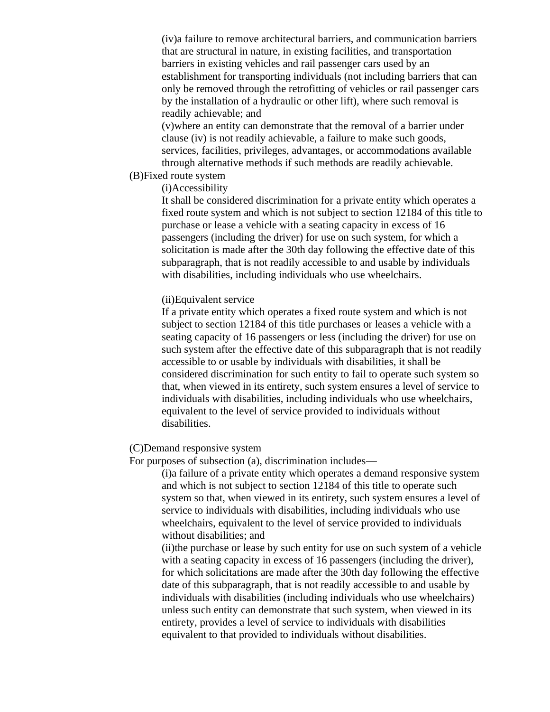(iv)a failure to remove architectural barriers, and communication barriers that are structural in nature, in existing facilities, and transportation barriers in existing vehicles and rail passenger cars used by an establishment for transporting individuals (not including barriers that can only be removed through the retrofitting of vehicles or rail passenger cars by the installation of a hydraulic or other lift), where such removal is readily achievable; and

(v)where an entity can demonstrate that the removal of a barrier under clause (iv) is not readily achievable, a failure to make such goods, services, facilities, privileges, advantages, or accommodations available through alternative methods if such methods are readily achievable.

# (B)Fixed route system

# (i)Accessibility

It shall be considered discrimination for a private entity which operates a fixed route system and which is not subject to section 12184 of this title to purchase or lease a vehicle with a seating capacity in excess of 16 passengers (including the driver) for use on such system, for which a solicitation is made after the 30th day following the effective date of this subparagraph, that is not readily accessible to and usable by individuals with disabilities, including individuals who use wheelchairs.

#### (ii)Equivalent service

If a private entity which operates a fixed route system and which is not subject to section 12184 of this title purchases or leases a vehicle with a seating capacity of 16 passengers or less (including the driver) for use on such system after the effective date of this subparagraph that is not readily accessible to or usable by individuals with disabilities, it shall be considered discrimination for such entity to fail to operate such system so that, when viewed in its entirety, such system ensures a level of service to individuals with disabilities, including individuals who use wheelchairs, equivalent to the level of service provided to individuals without disabilities.

#### (C)Demand responsive system

For purposes of subsection (a), discrimination includes—

(i)a failure of a private entity which operates a demand responsive system and which is not subject to section 12184 of this title to operate such system so that, when viewed in its entirety, such system ensures a level of service to individuals with disabilities, including individuals who use wheelchairs, equivalent to the level of service provided to individuals without disabilities; and

(ii)the purchase or lease by such entity for use on such system of a vehicle with a seating capacity in excess of 16 passengers (including the driver), for which solicitations are made after the 30th day following the effective date of this subparagraph, that is not readily accessible to and usable by individuals with disabilities (including individuals who use wheelchairs) unless such entity can demonstrate that such system, when viewed in its entirety, provides a level of service to individuals with disabilities equivalent to that provided to individuals without disabilities.